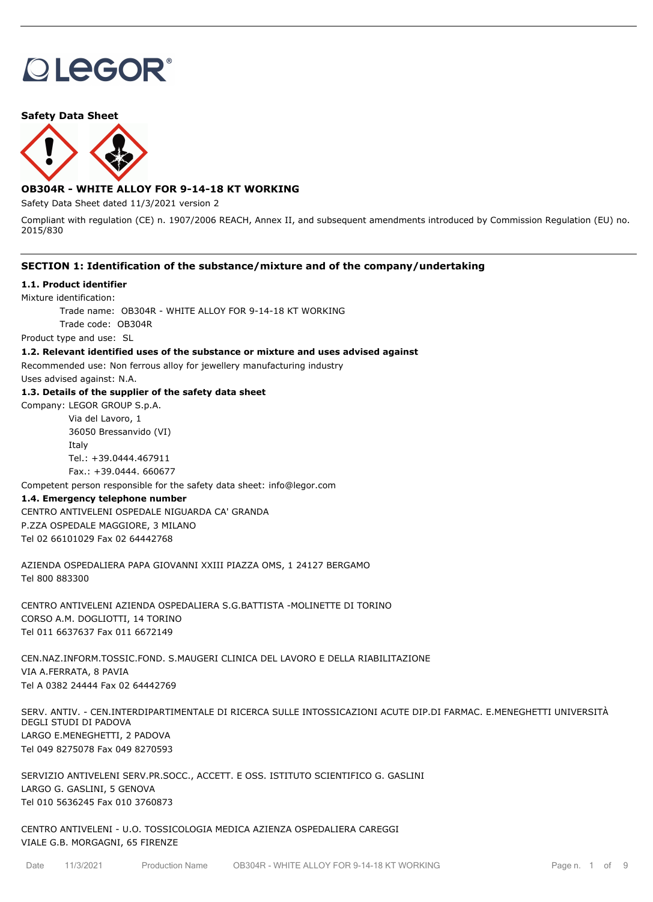# **OLEGOR®**

**Safety Data Sheet**



# **OB304R - WHITE ALLOY FOR 9-14-18 KT WORKING**

Safety Data Sheet dated 11/3/2021 version 2

Compliant with regulation (CE) n. 1907/2006 REACH, Annex II, and subsequent amendments introduced by Commission Regulation (EU) no. 2015/830

# **SECTION 1: Identification of the substance/mixture and of the company/undertaking**

## **1.1. Product identifier**

Mixture identification:

Trade name: OB304R - WHITE ALLOY FOR 9-14-18 KT WORKING

Trade code: OB304R

Product type and use: SL

## **1.2. Relevant identified uses of the substance or mixture and uses advised against**

Recommended use: Non ferrous alloy for jewellery manufacturing industry

Uses advised against: N.A.

# **1.3. Details of the supplier of the safety data sheet**

Company: LEGOR GROUP S.p.A. Via del Lavoro, 1

36050 Bressanvido (VI) Italy Tel.: +39.0444.467911 Fax.: +39.0444. 660677

Competent person responsible for the safety data sheet: info@legor.com

# **1.4. Emergency telephone number**

CENTRO ANTIVELENI OSPEDALE NIGUARDA CA' GRANDA P.ZZA OSPEDALE MAGGIORE, 3 MILANO Tel 02 66101029 Fax 02 64442768

AZIENDA OSPEDALIERA PAPA GIOVANNI XXIII PIAZZA OMS, 1 24127 BERGAMO Tel 800 883300

CENTRO ANTIVELENI AZIENDA OSPEDALIERA S.G.BATTISTA -MOLINETTE DI TORINO CORSO A.M. DOGLIOTTI, 14 TORINO Tel 011 6637637 Fax 011 6672149

CEN.NAZ.INFORM.TOSSIC.FOND. S.MAUGERI CLINICA DEL LAVORO E DELLA RIABILITAZIONE VIA A.FERRATA, 8 PAVIA Tel A 0382 24444 Fax 02 64442769

SERV. ANTIV. - CEN.INTERDIPARTIMENTALE DI RICERCA SULLE INTOSSICAZIONI ACUTE DIP.DI FARMAC. E.MENEGHETTI UNIVERSITÀ DEGLI STUDI DI PADOVA LARGO E.MENEGHETTI, 2 PADOVA Tel 049 8275078 Fax 049 8270593

SERVIZIO ANTIVELENI SERV.PR.SOCC., ACCETT. E OSS. ISTITUTO SCIENTIFICO G. GASLINI LARGO G. GASLINI, 5 GENOVA Tel 010 5636245 Fax 010 3760873

CENTRO ANTIVELENI - U.O. TOSSICOLOGIA MEDICA AZIENZA OSPEDALIERA CAREGGI VIALE G.B. MORGAGNI, 65 FIRENZE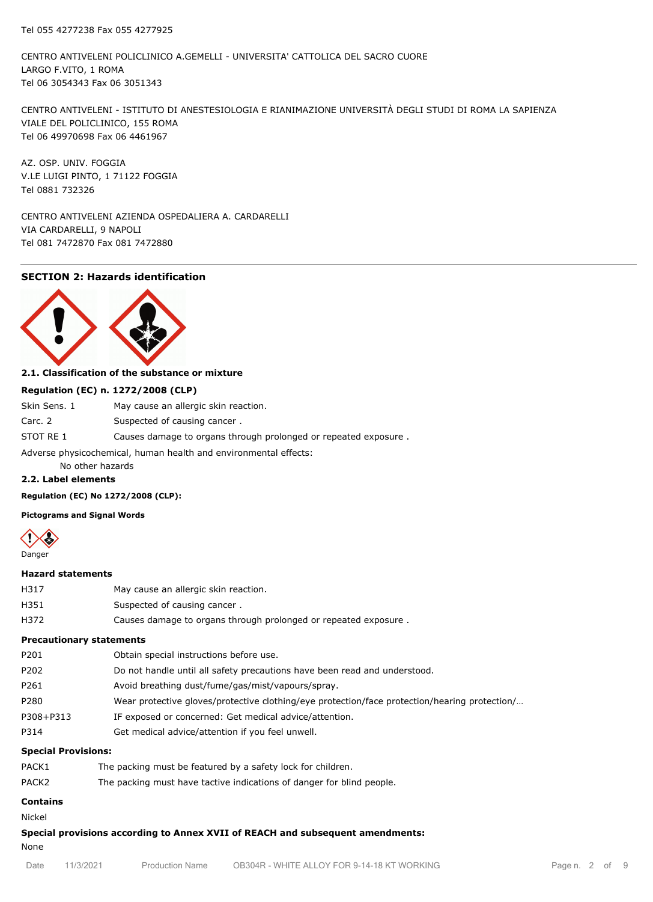CENTRO ANTIVELENI POLICLINICO A.GEMELLI - UNIVERSITA' CATTOLICA DEL SACRO CUORE LARGO F.VITO, 1 ROMA Tel 06 3054343 Fax 06 3051343

CENTRO ANTIVELENI - ISTITUTO DI ANESTESIOLOGIA E RIANIMAZIONE UNIVERSITÀ DEGLI STUDI DI ROMA LA SAPIENZA VIALE DEL POLICLINICO, 155 ROMA Tel 06 49970698 Fax 06 4461967

AZ. OSP. UNIV. FOGGIA V.LE LUIGI PINTO, 1 71122 FOGGIA Tel 0881 732326

CENTRO ANTIVELENI AZIENDA OSPEDALIERA A. CARDARELLI VIA CARDARELLI, 9 NAPOLI Tel 081 7472870 Fax 081 7472880

# **SECTION 2: Hazards identification**



# **2.1. Classification of the substance or mixture**

#### **Regulation (EC) n. 1272/2008 (CLP)**

| Skin Sens. 1                                                     | May cause an allergic skin reaction.                            |  |  |
|------------------------------------------------------------------|-----------------------------------------------------------------|--|--|
| Carc. 2                                                          | Suspected of causing cancer.                                    |  |  |
| STOT RE 1                                                        | Causes damage to organs through prolonged or repeated exposure. |  |  |
| Adverse physicochemical, human health and environmental effects: |                                                                 |  |  |

No other hazards

## **2.2. Label elements**

**Regulation (EC) No 1272/2008 (CLP):**

**Pictograms and Signal Words**



#### **Hazard statements**

| H317     | May cause an allergic skin reaction. |
|----------|--------------------------------------|
| H351     | Suspected of causing cancer.         |
| $\cdots$ |                                      |

H372 Causes damage to organs through prolonged or repeated exposure .

# **Precautionary statements**

| P201<br>Obtain special instructions before use.                                                       |  |
|-------------------------------------------------------------------------------------------------------|--|
| P202<br>Do not handle until all safety precautions have been read and understood.                     |  |
| P261<br>Avoid breathing dust/fume/gas/mist/vapours/spray.                                             |  |
| P280<br>Wear protective gloves/protective clothing/eye protection/face protection/hearing protection/ |  |
| P308+P313<br>IF exposed or concerned: Get medical advice/attention.                                   |  |
| P314<br>Get medical advice/attention if you feel unwell.                                              |  |

# **Special Provisions:**

| PACK1             | The packing must be featured by a safety lock for children.           |
|-------------------|-----------------------------------------------------------------------|
| PACK <sub>2</sub> | The packing must have tactive indications of danger for blind people. |

# **Contains**

Nickel

**Special provisions according to Annex XVII of REACH and subsequent amendments:**

None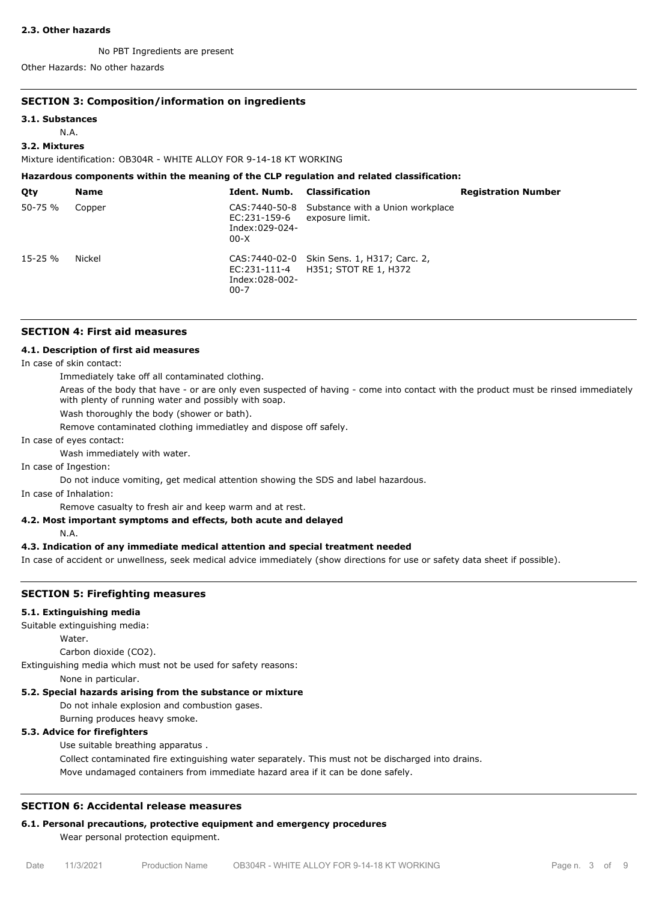#### **2.3. Other hazards**

No PBT Ingredients are present

Other Hazards: No other hazards

# **SECTION 3: Composition/information on ingredients**

#### **3.1. Substances**

N.A.

# **3.2. Mixtures**

Mixture identification: OB304R - WHITE ALLOY FOR 9-14-18 KT WORKING

| Hazardous components within the meaning of the CLP regulation and related classification: |             |                                                            |                                                                      |                            |  |
|-------------------------------------------------------------------------------------------|-------------|------------------------------------------------------------|----------------------------------------------------------------------|----------------------------|--|
| Qty                                                                                       | <b>Name</b> | Ident. Numb.                                               | <b>Classification</b>                                                | <b>Registration Number</b> |  |
| 50-75 %                                                                                   | Copper      | CAS: 7440-50-8<br>EC:231-159-6<br>Index:029-024-<br>$00-X$ | Substance with a Union workplace<br>exposure limit.                  |                            |  |
| $15 - 25 \%$                                                                              | Nickel      | EC:231-111-4<br>Index:028-002-<br>$00 - 7$                 | CAS: 7440-02-0 Skin Sens. 1, H317; Carc. 2,<br>H351; STOT RE 1, H372 |                            |  |

## **SECTION 4: First aid measures**

#### **4.1. Description of first aid measures**

In case of skin contact:

Immediately take off all contaminated clothing.

Areas of the body that have - or are only even suspected of having - come into contact with the product must be rinsed immediately with plenty of running water and possibly with soap.

Wash thoroughly the body (shower or bath).

Remove contaminated clothing immediatley and dispose off safely.

In case of eyes contact:

Wash immediately with water.

In case of Ingestion:

Do not induce vomiting, get medical attention showing the SDS and label hazardous.

In case of Inhalation:

Remove casualty to fresh air and keep warm and at rest.

# **4.2. Most important symptoms and effects, both acute and delayed**

N.A.

# **4.3. Indication of any immediate medical attention and special treatment needed**

In case of accident or unwellness, seek medical advice immediately (show directions for use or safety data sheet if possible).

# **SECTION 5: Firefighting measures**

## **5.1. Extinguishing media**

Suitable extinguishing media:

Water.

Carbon dioxide (CO2).

Extinguishing media which must not be used for safety reasons:

None in particular.

# **5.2. Special hazards arising from the substance or mixture**

Do not inhale explosion and combustion gases.

Burning produces heavy smoke.

# **5.3. Advice for firefighters**

Use suitable breathing apparatus .

Collect contaminated fire extinguishing water separately. This must not be discharged into drains. Move undamaged containers from immediate hazard area if it can be done safely.

# **SECTION 6: Accidental release measures**

# **6.1. Personal precautions, protective equipment and emergency procedures**

Wear personal protection equipment.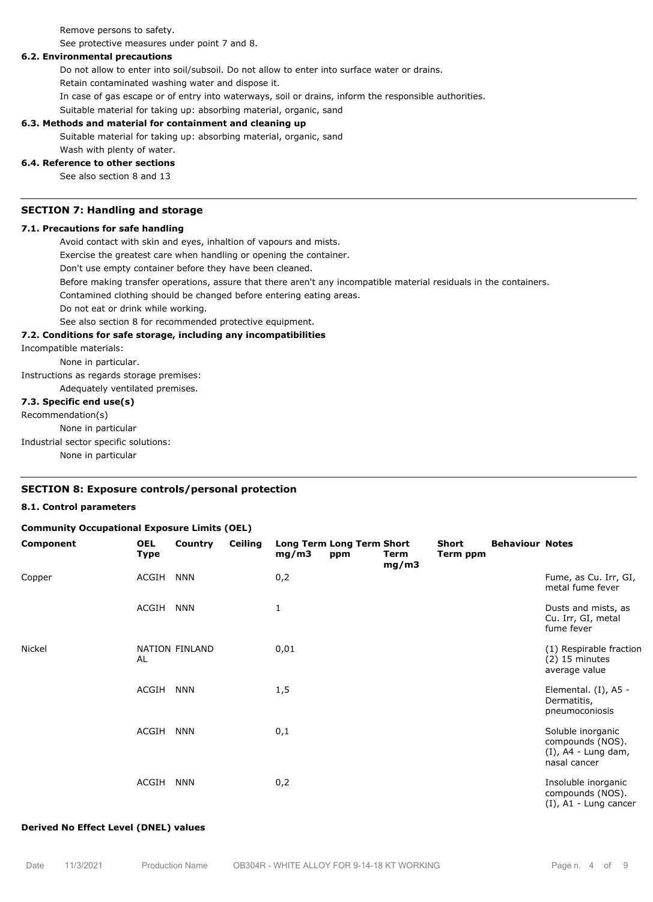Remove persons to safety.

See protective measures under point 7 and 8.

#### **6.2. Environmental precautions**

Do not allow to enter into soil/subsoil. Do not allow to enter into surface water or drains.

Retain contaminated washing water and dispose it.

In case of gas escape or of entry into waterways, soil or drains, inform the responsible authorities.

Suitable material for taking up: absorbing material, organic, sand

## **6.3. Methods and material for containment and cleaning up**

Suitable material for taking up: absorbing material, organic, sand

# Wash with plenty of water.

# **6.4. Reference to other sections**

See also section 8 and 13

#### **SECTION 7: Handling and storage**

# **7.1. Precautions for safe handling**

Avoid contact with skin and eyes, inhaltion of vapours and mists.

Exercise the greatest care when handling or opening the container.

Don't use empty container before they have been cleaned.

Before making transfer operations, assure that there aren't any incompatible material residuals in the containers.

Contamined clothing should be changed before entering eating areas.

Do not eat or drink while working.

See also section 8 for recommended protective equipment.

#### **7.2. Conditions for safe storage, including any incompatibilities**

Incompatible materials:

None in particular.

Instructions as regards storage premises:

Adequately ventilated premises.

#### **7.3. Specific end use(s)**

Recommendation(s)

None in particular

Industrial sector specific solutions:

None in particular

# **SECTION 8: Exposure controls/personal protection**

#### **8.1. Control parameters**

#### **Community Occupational Exposure Limits (OEL)**

| Component | <b>OEL</b><br><b>Type</b> | Country        | <b>Ceiling</b> | Long Term Long Term Short<br>mg/m3 | ppm | Term<br>mg/m3 | Short<br>Term ppm | <b>Behaviour Notes</b> |                                                                                 |
|-----------|---------------------------|----------------|----------------|------------------------------------|-----|---------------|-------------------|------------------------|---------------------------------------------------------------------------------|
| Copper    | ACGIH                     | <b>NNN</b>     |                | 0,2                                |     |               |                   |                        | Fume, as Cu. Irr, GI,<br>metal fume fever                                       |
|           | ACGIH                     | <b>NNN</b>     |                | 1                                  |     |               |                   |                        | Dusts and mists, as<br>Cu. Irr, GI, metal<br>fume fever                         |
| Nickel    | AL                        | NATION FINLAND |                | 0,01                               |     |               |                   |                        | (1) Respirable fraction<br>$(2)$ 15 minutes<br>average value                    |
|           | ACGIH                     | <b>NNN</b>     |                | 1,5                                |     |               |                   |                        | Elemental. (I), A5 -<br>Dermatitis,<br>pneumoconiosis                           |
|           | ACGIH                     | <b>NNN</b>     |                | 0,1                                |     |               |                   |                        | Soluble inorganic<br>compounds (NOS).<br>$(I)$ , A4 - Lung dam,<br>nasal cancer |
|           | ACGIH                     | <b>NNN</b>     |                | 0,2                                |     |               |                   |                        | Insoluble inorganic<br>compounds (NOS).<br>$(I)$ , A1 - Lung cancer             |

#### **Derived No Effect Level (DNEL) values**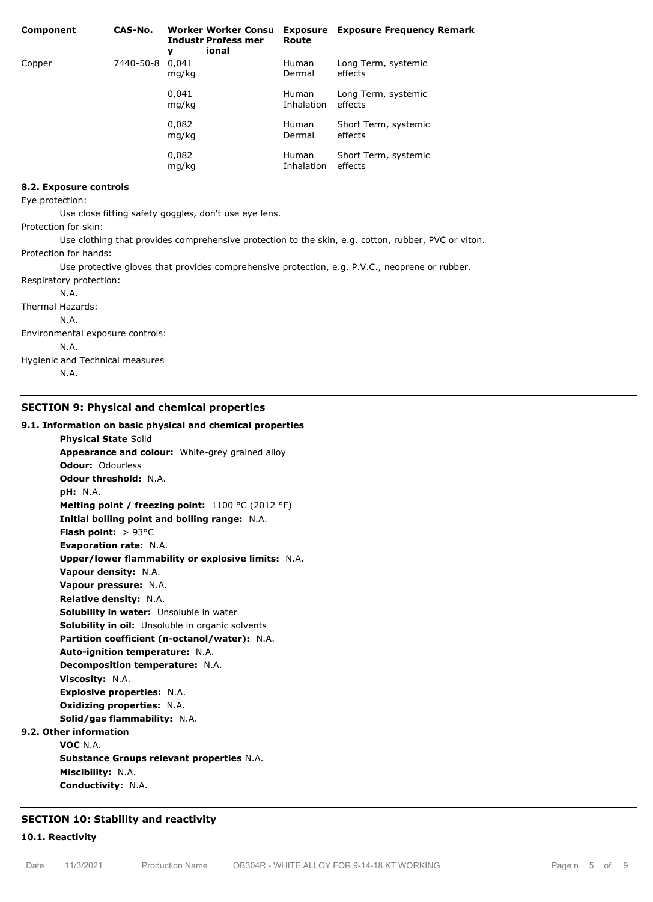| Component | CAS-No.         | <b>Worker Worker Consu</b><br><b>Industr Profess mer</b><br>ional<br>y | Route                      | <b>Exposure</b> Exposure Frequency Remark |
|-----------|-----------------|------------------------------------------------------------------------|----------------------------|-------------------------------------------|
| Copper    | 7440-50-8 0,041 | mg/kg                                                                  | <b>Human</b><br>Dermal     | Long Term, systemic<br>effects            |
|           |                 | 0.041<br>mg/kg                                                         | <b>Human</b><br>Inhalation | Long Term, systemic<br>effects            |
|           |                 | 0,082<br>mg/kg                                                         | <b>Human</b><br>Dermal     | Short Term, systemic<br>effects           |
|           |                 | 0,082<br>mg/kg                                                         | <b>Human</b><br>Inhalation | Short Term, systemic<br>effects           |

#### **8.2. Exposure controls**

Eye protection:

Use close fitting safety goggles, don't use eye lens.

Protection for skin:

Use clothing that provides comprehensive protection to the skin, e.g. cotton, rubber, PVC or viton. Protection for hands:

Use protective gloves that provides comprehensive protection, e.g. P.V.C., neoprene or rubber. Respiratory protection:

N.A.

Thermal Hazards:

N.A.

Environmental exposure controls:

N.A.

Hygienic and Technical measures

N.A.

# **SECTION 9: Physical and chemical properties**

#### **9.1. Information on basic physical and chemical properties**

**Physical State** Solid **Appearance and colour:** White-grey grained alloy **Odour:** Odourless **Odour threshold:** N.A. **pH:** N.A. **Melting point / freezing point:** 1100 °C (2012 °F) **Initial boiling point and boiling range:** N.A. **Flash point:** > 93°C **Evaporation rate:** N.A. **Upper/lower flammability or explosive limits:** N.A. **Vapour density:** N.A. **Vapour pressure:** N.A. **Relative density:** N.A. **Solubility in water:** Unsoluble in water **Solubility in oil:** Unsoluble in organic solvents **Partition coefficient (n-octanol/water):** N.A. **Auto-ignition temperature:** N.A. **Decomposition temperature:** N.A. **Viscosity:** N.A. **Explosive properties:** N.A. **Oxidizing properties:** N.A. **Solid/gas flammability:** N.A. **9.2. Other information VOC** N.A. **Substance Groups relevant properties** N.A. **Miscibility:** N.A. **Conductivity:** N.A.

# **SECTION 10: Stability and reactivity**

**10.1. Reactivity**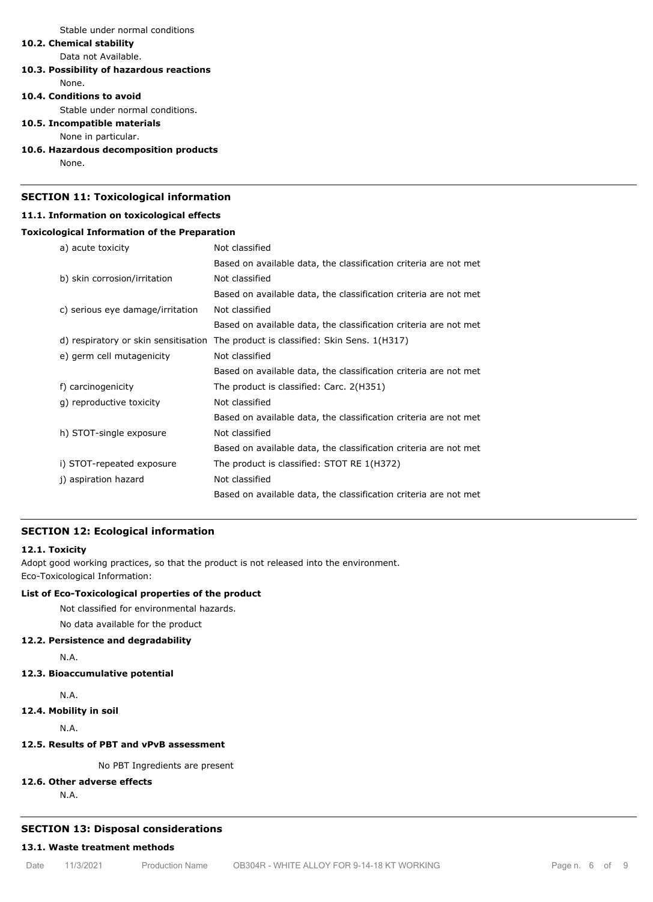Stable under normal conditions

# **10.2. Chemical stability**

Data not Available.

# **10.3. Possibility of hazardous reactions**

None.

#### **10.4. Conditions to avoid**

Stable under normal conditions.

## **10.5. Incompatible materials**

None in particular.

#### **10.6. Hazardous decomposition products**

None.

# **SECTION 11: Toxicological information**

# **11.1. Information on toxicological effects**

# **Toxicological Information of the Preparation**

| a) acute toxicity                    | Not classified                                                   |
|--------------------------------------|------------------------------------------------------------------|
|                                      | Based on available data, the classification criteria are not met |
| b) skin corrosion/irritation         | Not classified                                                   |
|                                      | Based on available data, the classification criteria are not met |
| c) serious eye damage/irritation     | Not classified                                                   |
|                                      | Based on available data, the classification criteria are not met |
| d) respiratory or skin sensitisation | The product is classified: Skin Sens. 1(H317)                    |
| e) germ cell mutagenicity            | Not classified                                                   |
|                                      | Based on available data, the classification criteria are not met |
| f) carcinogenicity                   | The product is classified: Carc. 2(H351)                         |
| q) reproductive toxicity             | Not classified                                                   |
|                                      | Based on available data, the classification criteria are not met |
| h) STOT-single exposure              | Not classified                                                   |
|                                      | Based on available data, the classification criteria are not met |
| i) STOT-repeated exposure            | The product is classified: STOT RE 1(H372)                       |
| j) aspiration hazard                 | Not classified                                                   |
|                                      | Based on available data, the classification criteria are not met |

## **SECTION 12: Ecological information**

# **12.1. Toxicity**

Adopt good working practices, so that the product is not released into the environment. Eco-Toxicological Information:

# **List of Eco-Toxicological properties of the product**

Not classified for environmental hazards.

No data available for the product

# **12.2. Persistence and degradability**

N.A.

# **12.3. Bioaccumulative potential**

N.A.

**12.4. Mobility in soil**

N.A.

# **12.5. Results of PBT and vPvB assessment**

No PBT Ingredients are present

# **12.6. Other adverse effects**

N.A.

# **SECTION 13: Disposal considerations**

# **13.1. Waste treatment methods**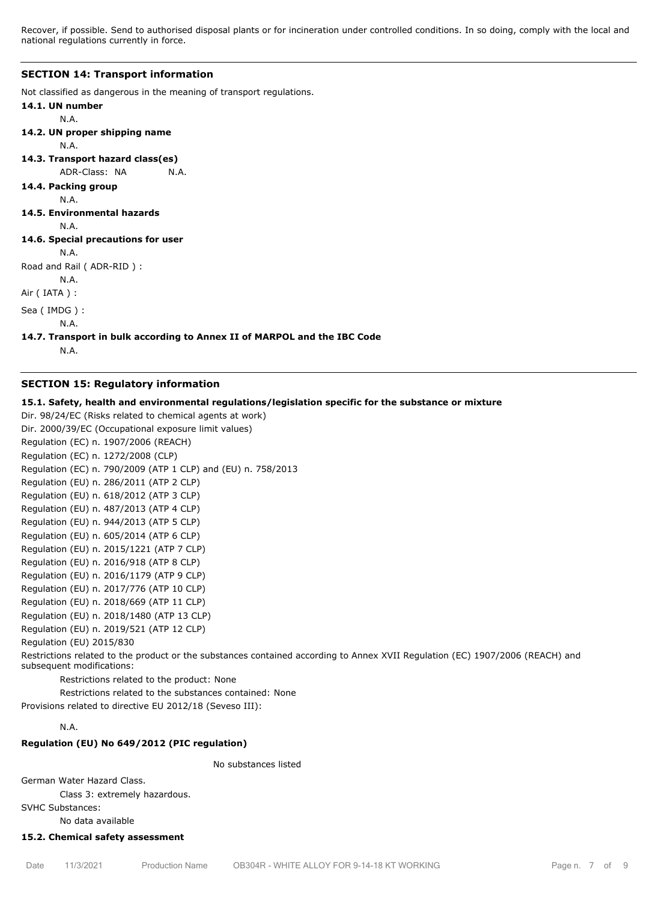Recover, if possible. Send to authorised disposal plants or for incineration under controlled conditions. In so doing, comply with the local and national regulations currently in force.

#### **SECTION 14: Transport information**

Not classified as dangerous in the meaning of transport regulations.

```
14.1. UN number
       N.A.
14.2. UN proper shipping name
       N.A.
14.3. Transport hazard class(es)
```
ADR-Class: NA N.A.

# **14.4. Packing group**

N.A.

#### **14.5. Environmental hazards**

N.A.

# **14.6. Special precautions for user**

N.A.

```
Road and Rail ( ADR-RID ) :
```
N.A.

Air ( IATA ) :

Sea ( IMDG ) :

N.A.

## **14.7. Transport in bulk according to Annex II of MARPOL and the IBC Code**

N.A.

# **SECTION 15: Regulatory information**

## **15.1. Safety, health and environmental regulations/legislation specific for the substance or mixture**

```
Dir. 98/24/EC (Risks related to chemical agents at work)
Dir. 2000/39/EC (Occupational exposure limit values)
Regulation (EC) n. 1907/2006 (REACH)
Regulation (EC) n. 1272/2008 (CLP)
Regulation (EC) n. 790/2009 (ATP 1 CLP) and (EU) n. 758/2013
Regulation (EU) n. 286/2011 (ATP 2 CLP)
Regulation (EU) n. 618/2012 (ATP 3 CLP)
Regulation (EU) n. 487/2013 (ATP 4 CLP)
Regulation (EU) n. 944/2013 (ATP 5 CLP)
Regulation (EU) n. 605/2014 (ATP 6 CLP)
Regulation (EU) n. 2015/1221 (ATP 7 CLP)
Regulation (EU) n. 2016/918 (ATP 8 CLP)
Regulation (EU) n. 2016/1179 (ATP 9 CLP)
Regulation (EU) n. 2017/776 (ATP 10 CLP)
Regulation (EU) n. 2018/669 (ATP 11 CLP)
Regulation (EU) n. 2018/1480 (ATP 13 CLP)
Regulation (EU) n. 2019/521 (ATP 12 CLP)
Regulation (EU) 2015/830
Restrictions related to the product or the substances contained according to Annex XVII Regulation (EC) 1907/2006 (REACH) and
subsequent modifications:
        Restrictions related to the product: None
        Restrictions related to the substances contained: None
```
Provisions related to directive EU 2012/18 (Seveso III):

# N.A.

# **Regulation (EU) No 649/2012 (PIC regulation)**

No substances listed

German Water Hazard Class.

Class 3: extremely hazardous.

SVHC Substances:

No data available

#### **15.2. Chemical safety assessment**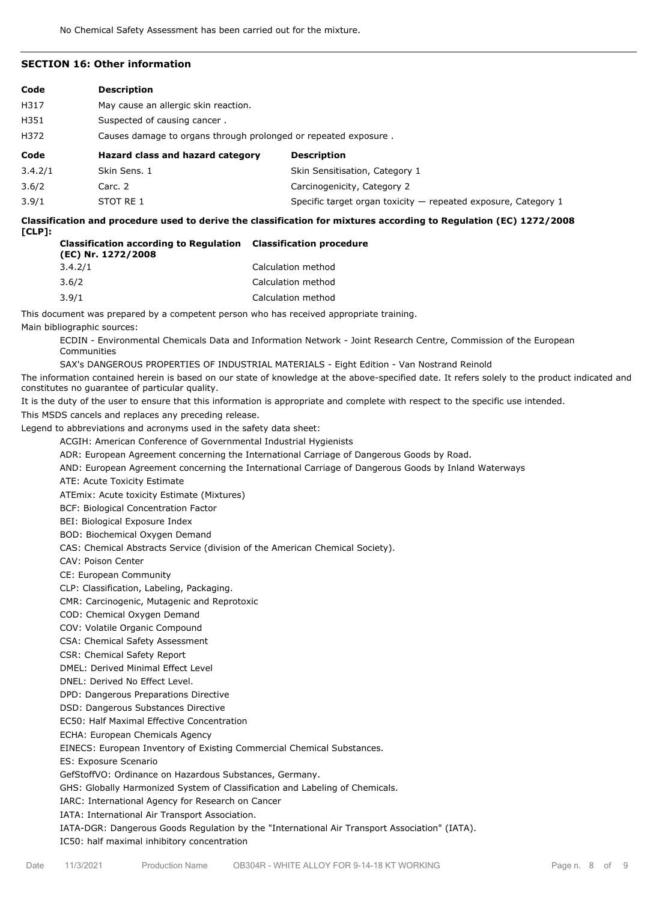# **SECTION 16: Other information**

| Code    | <b>Description</b>                                              |                                |  |  |
|---------|-----------------------------------------------------------------|--------------------------------|--|--|
| H317    | May cause an allergic skin reaction.                            |                                |  |  |
| H351    | Suspected of causing cancer.                                    |                                |  |  |
| H372    | Causes damage to organs through prolonged or repeated exposure. |                                |  |  |
|         |                                                                 |                                |  |  |
| Code    | Hazard class and hazard category                                | <b>Description</b>             |  |  |
| 3.4.2/1 | Skin Sens, 1                                                    | Skin Sensitisation, Category 1 |  |  |
| 3.6/2   | Carc. 2                                                         | Carcinogenicity, Category 2    |  |  |

**Classification and procedure used to derive the classification for mixtures according to Regulation (EC) 1272/2008 [CLP]:**

| <b>Classification according to Regulation Classification procedure</b><br>(EC) Nr. 1272/2008 |                    |
|----------------------------------------------------------------------------------------------|--------------------|
| 3.4.2/1                                                                                      | Calculation method |
| 3.6/2                                                                                        | Calculation method |
| 3.9/1                                                                                        | Calculation method |

This document was prepared by a competent person who has received appropriate training. Main bibliographic sources:

ECDIN - Environmental Chemicals Data and Information Network - Joint Research Centre, Commission of the European Communities

SAX's DANGEROUS PROPERTIES OF INDUSTRIAL MATERIALS - Eight Edition - Van Nostrand Reinold

The information contained herein is based on our state of knowledge at the above-specified date. It refers solely to the product indicated and constitutes no guarantee of particular quality.

It is the duty of the user to ensure that this information is appropriate and complete with respect to the specific use intended. This MSDS cancels and replaces any preceding release.

Legend to abbreviations and acronyms used in the safety data sheet:

ACGIH: American Conference of Governmental Industrial Hygienists

ADR: European Agreement concerning the International Carriage of Dangerous Goods by Road.

AND: European Agreement concerning the International Carriage of Dangerous Goods by Inland Waterways

ATE: Acute Toxicity Estimate

ATEmix: Acute toxicity Estimate (Mixtures)

BCF: Biological Concentration Factor

BEI: Biological Exposure Index

BOD: Biochemical Oxygen Demand

CAS: Chemical Abstracts Service (division of the American Chemical Society).

CAV: Poison Center

CE: European Community

CLP: Classification, Labeling, Packaging.

CMR: Carcinogenic, Mutagenic and Reprotoxic

COD: Chemical Oxygen Demand

COV: Volatile Organic Compound

CSA: Chemical Safety Assessment

CSR: Chemical Safety Report

DMEL: Derived Minimal Effect Level

DNEL: Derived No Effect Level.

DPD: Dangerous Preparations Directive

DSD: Dangerous Substances Directive

EC50: Half Maximal Effective Concentration

ECHA: European Chemicals Agency

EINECS: European Inventory of Existing Commercial Chemical Substances.

ES: Exposure Scenario

GefStoffVO: Ordinance on Hazardous Substances, Germany.

GHS: Globally Harmonized System of Classification and Labeling of Chemicals.

IARC: International Agency for Research on Cancer

IATA: International Air Transport Association.

IATA-DGR: Dangerous Goods Regulation by the "International Air Transport Association" (IATA). IC50: half maximal inhibitory concentration